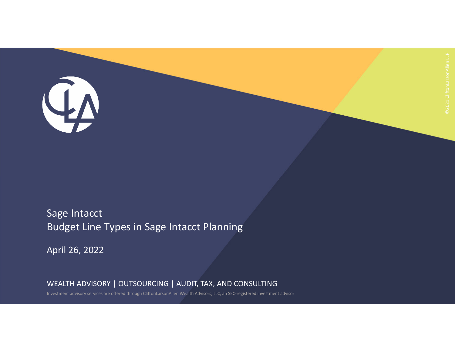Sage Intacct Budget Line Types in Sage Intacct Planning

April 26, 2022

QA

WEALTH ADVISORY | OUTSOURCING | AUDIT, TAX, AND CONSULTING

Investment advisory services are offered through CliftonLarsonAllen Wealth Advisors, LLC, an SEC‐registered investment advisor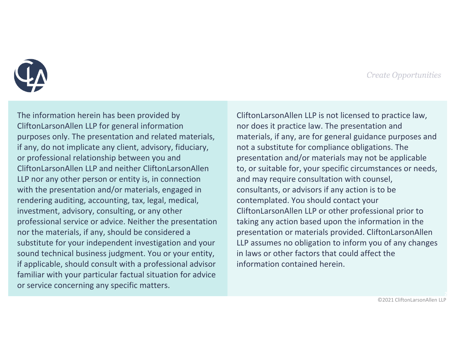

The information herein has been provided by CliftonLarsonAllen LLP for general information purposes only. The presentation and related materials, if any, do not implicate any client, advisory, fiduciary, or professional relationship between you and CliftonLarsonAllen LLP and neither CliftonLarsonAllen LLP nor any other person or entity is, in connection with the presentation and/or materials, engaged in rendering auditing, accounting, tax, legal, medical, investment, advisory, consulting, or any other professional service or advice. Neither the presentation nor the materials, if any, should be considered <sup>a</sup> substitute for your independent investigation and your sound technical business judgment. You or your entity, if applicable, should consult with <sup>a</sup> professional advisor familiar with your particular factual situation for advice or service concerning any specific matters.

CliftonLarsonAllen LLP is not licensed to practice law, nor does it practice law. The presentation and materials, if any, are for general guidance purposes and not a substitute for compliance obligations. The presentation and/or materials may not be applicable to, or suitable for, your specific circumstances or needs, and may require consultation with counsel, consultants, or advisors if any action is to be contemplated. You should contact your CliftonLarsonAllen LLP or other professional prior to taking any action based upon the information in the presentation or materials provided. CliftonLarsonAllen LLP assumes no obligation to inform you of any changes in laws or other factors that could affect the information contained herein.

©2021 CliftonLarsonAllen LLP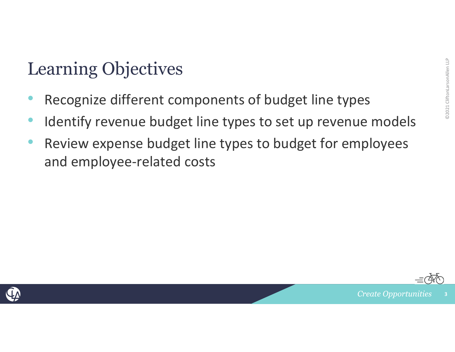- Examing Objectives<br>• Recognize different components of budget line types Recognize different components of budget line types
- Identify revenue budget line types to set up revenue models
- • Review expense budget line types to budget for employees and employee‐related costs



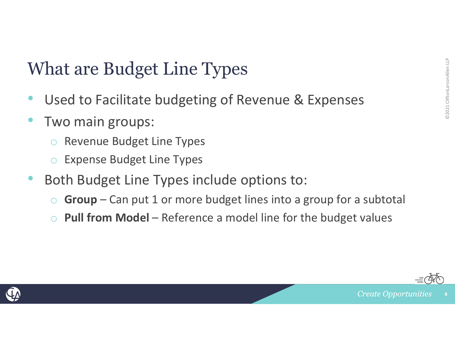- What are Budget Line Types<br>• Used to Facilitate budgeting of Revenue & Expenses<br>• The Control of Types Superset Control of Superset Control of Superset Control of Superset Control of Superse •Used to Facilitate budgeting of Revenue & Expenses
- •• Two main groups:
	- oRevenue Budget Line Types
	- oExpense Budget Line Types
- • Both Budget Line Types include options to:
	- $\bigcirc$ **Group** – Can put 1 or more budget lines into a group for a subtotal
	- o**Pull from Model** – Reference a model line for the budget values



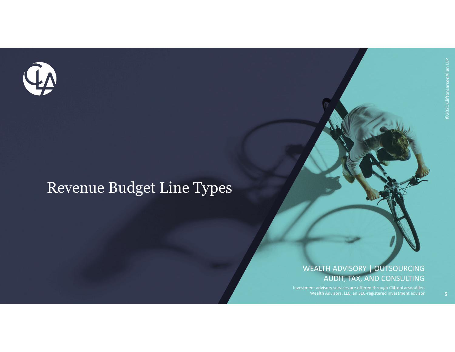

### Revenue Budget Line Types

### WEALTH ADVISORY | OUTSOURCING AUDIT, TAX, AND CONSULTING

Investment advisory services are offered through CliftonLarsonAllen Wealth Advisors, LLC, an SEC‐registered investment advisor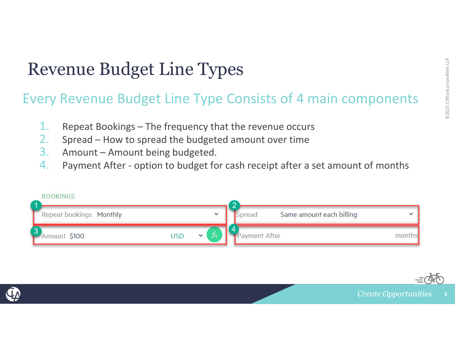### Revenue Budget Line Types

# Every Revenue Budget Line Types<br>Every Revenue Budget Line Type Consists of 4 main components

- 1.Repeat Bookings – The frequency that the revenue occurs
- 2.Spread – How to spread the budgeted amount over time
- 3.Amount – Amount being budgeted.
- 4.Payment After ‐ option to budget for cash receipt after <sup>a</sup> set amount of months



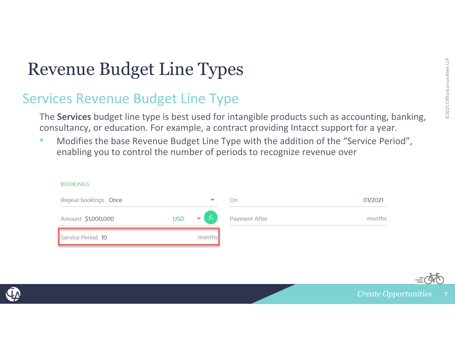# Example Budget Line Types<br>
Services Revenue Budget Line Type<br>
The Services budget line type is best used for intangible products such as accounting, banking.

 **Services** budget line type is best used for intangible products such as accounting, banking, consultancy, or education. For example, <sup>a</sup> contract providing Intacct support for <sup>a</sup> year.

•**• Modifies the base Revenue Budget Line Type with the addition of the "Service Period"**, enabling you to control the number of periods to recognize revenue over

| <b>BOOKINGS</b>      |                        |               |         |
|----------------------|------------------------|---------------|---------|
| Repeat bookings Once | $\checkmark$           | On            | 01/2021 |
| Amount \$1,000,000   | USD $\mathbf{v}$ $f_x$ | Payment After | months  |
| Service Period 10    | months                 |               |         |



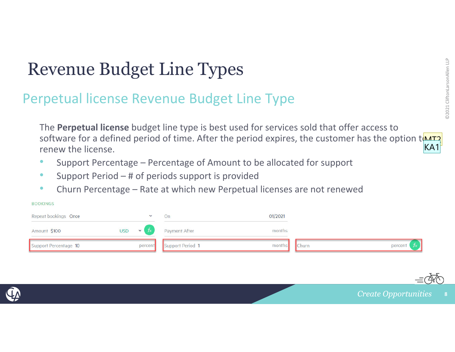# Experiment Dudget Line Types<br>
Perpetual license Revenue Budget Line Type

The **Perpetual license** budget line type is best used for services sold that offer access to software for a defined period of time. After the period expires, the customer has the option t(MIT) renew the license. KA1

- •Support Percentage – Percentage of Amount to be allocated for support
- $\bullet$ Support Period – # of periods support is provided
- •Churn Percentage – Rate at which new Perpetual licenses are not renewed

### **BOOKINGS**

| Repeat bookings Once  | $\checkmark$           | On               | 01/2021 |              |         |
|-----------------------|------------------------|------------------|---------|--------------|---------|
| Amount \$100          | USD $\mathbf{v}$ $f_x$ | Payment After    | months  |              |         |
| Support Percentage 10 | percent                | Support Period 1 | months  | <b>Churn</b> | percent |



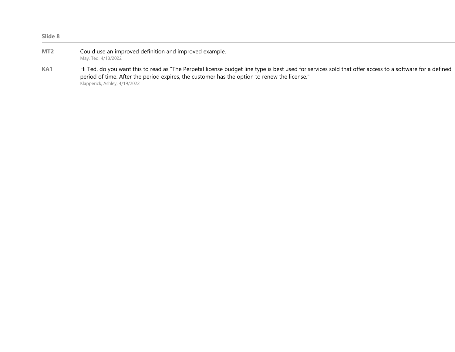| Slide 8         |                                                                                                                                                                                                                                                                                          |
|-----------------|------------------------------------------------------------------------------------------------------------------------------------------------------------------------------------------------------------------------------------------------------------------------------------------|
| MT <sub>2</sub> | Could use an improved definition and improved example.<br>May, Ted, 4/18/2022                                                                                                                                                                                                            |
| KA1             | Hi Ted, do you want this to read as "The Perpetal license budget line type is best used for services sold that offer access to a software for a defined<br>period of time. After the period expires, the customer has the option to renew the license."<br>Klapperick, Ashley, 4/19/2022 |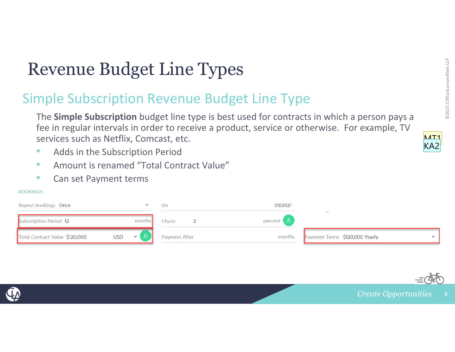### Experience Budget Line Types<br>
Simple Subscription Revenue Budget Line Type<br>
The Simple Subscription budget line type is best used for contracts in which a person pays a Revenue Budget Line Types

 **Simple Subscription** budget line type is best used for contracts in which <sup>a</sup> person pays <sup>a</sup> fee in regular intervals in order to receive <sup>a</sup> product, service or otherwise. For example, TV services such as Netflix, Comcast, etc.

- $\bullet$ **• Adds in the Subscription Period**
- •Amount is renamed "Total Contract Value"
- $\bullet$ Can set Payment terms

### **BOOKINGS**

| Repeat bookings Once                                     | υn            | 01/2021       |                                |  |
|----------------------------------------------------------|---------------|---------------|--------------------------------|--|
| <b>Subscription Period 12</b><br>months                  | Churn         | percent $f_x$ |                                |  |
| Total Contract Value \$120,000<br><b>USD</b><br>$\sim$ 1 | Payment After | months        | Payment Terms \$120,000 Yearly |  |





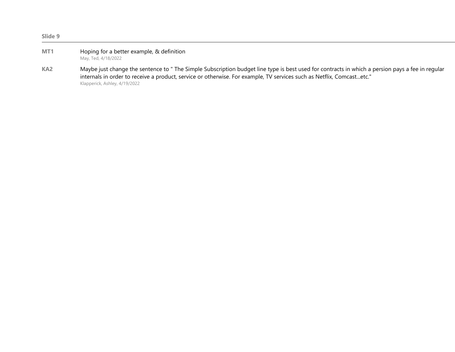| Slide 9         |                                                                                                                                                                                                                                                                                                            |
|-----------------|------------------------------------------------------------------------------------------------------------------------------------------------------------------------------------------------------------------------------------------------------------------------------------------------------------|
| MT1             | Hoping for a better example, & definition<br>May, Ted, 4/18/2022                                                                                                                                                                                                                                           |
| KA <sub>2</sub> | Maybe just change the sentence to " The Simple Subscription budget line type is best used for contracts in which a persion pays a fee in regular<br>internals in order to receive a product, service or otherwise. For example, TV services such as Netflix, Comcastetc."<br>Klapperick, Ashley, 4/19/2022 |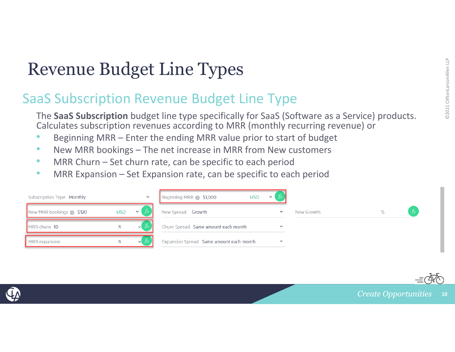# ENDRET CONDET CONTROLLER SAAS Subscription Revenue Budget Line Type<br>
The SaaS Subscription Revenue Budget Line Type<br>
The SaaS Subscription budget line type specifically for SaaS (Software as a Service) products.

 **SaaS Subscription** budget line type specifically for SaaS (Software as <sup>a</sup> Service) products. Calculates subscription revenues according to MRR (monthly recurring revenue) or

- •Beginning MRR – Enter the ending MRR value prior to start of budget
- $\bullet$ • New MRR bookings – The net increase in MRR from New customers
- $\bullet$ • MRR Churn – Set churn rate, can be specific to each period
- •**• MRR Expansion – Set Expansion rate, can be specific to each period**





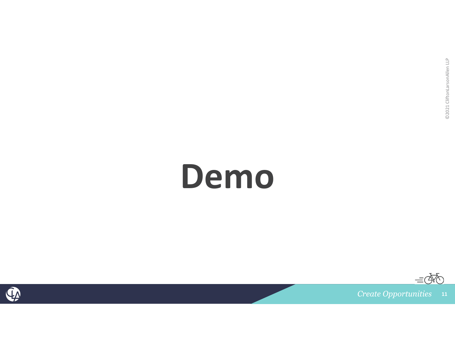## **Demo**



 $\vec{\alpha}$ 

**11**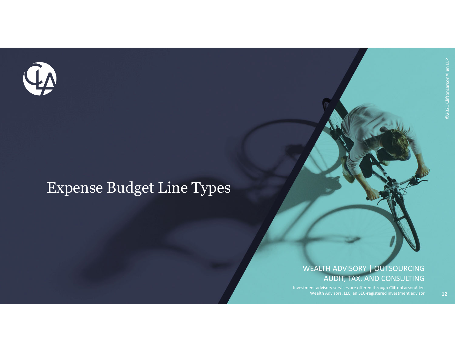

### Expense Budget Line Types

### WEALTH ADVISORY | OUTSOURCING AUDIT, TAX, AND CONSULTING

Investment advisory services are offered through CliftonLarsonAllen Wealth Advisors, LLC, an SEC‐registered investment advisor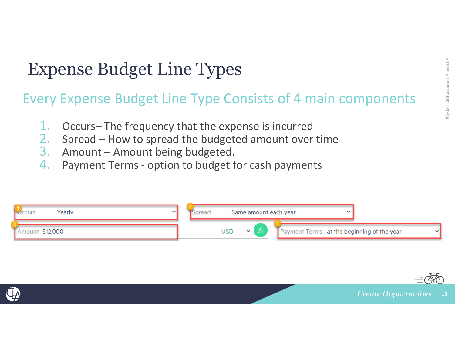### Expense Budget Line Types

# Expense Budget Line Types<br>Every Expense Budget Line Type Consists of 4 main components

- 1.Occurs– The frequency that the expense is incurred
- 2.Spread – How to spread the budgeted amount over time
- 3.Amount – Amount being budgeted.
- 4.Payment Terms ‐ option to budget for cash payments





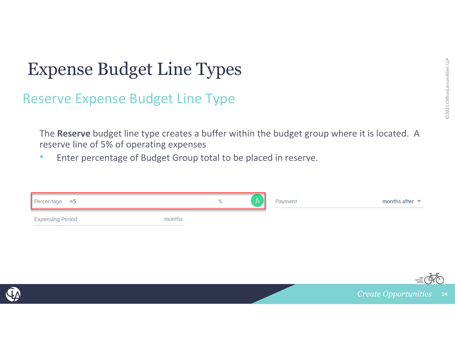# Expense Budget Line Types<br>
Reserve Expense Budget Line Type<br>
Expense Budget Line Type

The **Reserve** budget line type creates <sup>a</sup> buffer within the budget group where it is located. A reserve line of 5% of operating expenses

•Enter percentage of Budget Group total to be placed in reserve.

| Percentage $=5$         |        | ℅ | Payment | months after $\sim$ |
|-------------------------|--------|---|---------|---------------------|
| <b>Expensing Period</b> | months |   |         |                     |



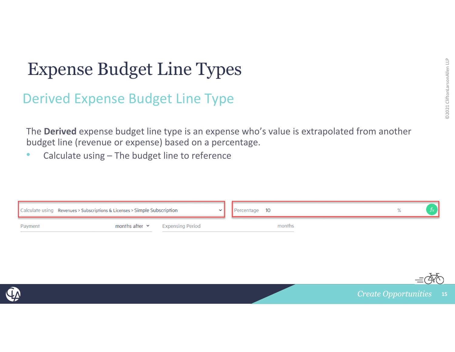# Expense Budget Line Types<br>
Derived Expense Budget Line Type

The **Derived** expense budget line type is an expense who's value is extrapolated from another budget line (revenue or expense) based on <sup>a</sup> percentage.

•• Calculate using – The budget line to reference





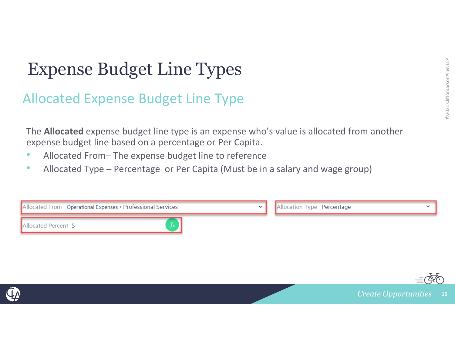# Expense Budget Line Types<br>
Allocated Expense Budget Line Type

The **Allocated** expense budget line type is an expense who's value is allocated from another expense budget line based on <sup>a</sup> percentage or Per Capita.

- $\bullet$ • Allocated From– The expense budget line to reference
- $\bullet$ • Allocated Type – Percentage or Per Capita (Must be in a salary and wage group)





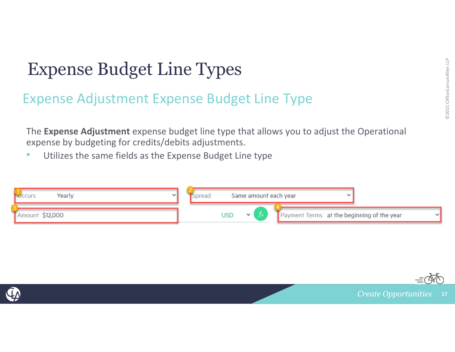### Expense Budget Line Types

# Expense Budget Line Types<br>Expense Adjustment Expense Budget Line Type

The **Expense Adjustment** expense budget line type that allows you to adjust the Operational expense by budgeting for credits/debits adjustments.

•Utilizes the same fields as the Expense Budget Line type





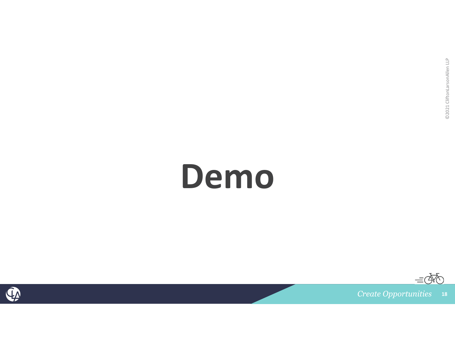## **Demo**



 $\equiv$   $\bar{\alpha}$ 

**18**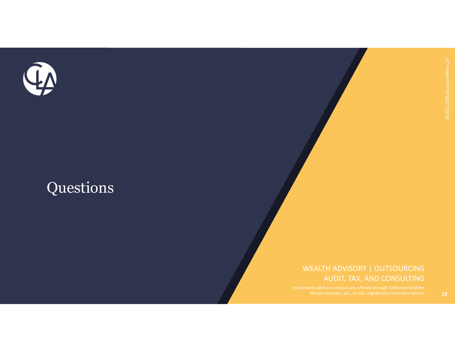

### Questions

### WEALTH ADVISORY | OUTSOURCING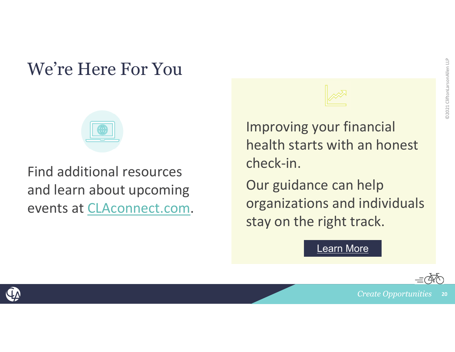### We're Here For You



Find additional resources and learn about upcoming events at CLAconnect.com.



Improving your financial health starts with an honest check‐in.

Our guidance can help organizations and individuals stay on the right track.

Learn More



**Create Opportunities 20**